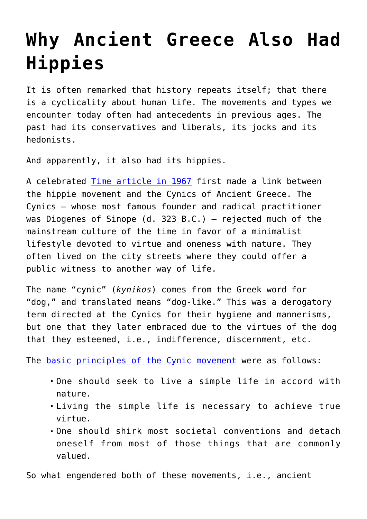## **[Why Ancient Greece Also Had](https://intellectualtakeout.org/2015/11/why-ancient-greece-also-had-hippies/) [Hippies](https://intellectualtakeout.org/2015/11/why-ancient-greece-also-had-hippies/)**

It is often remarked that history repeats itself; that there is a cyclicality about human life. The movements and types we encounter today often had antecedents in previous ages. The past had its conservatives and liberals, its jocks and its hedonists.

And apparently, it also had its hippies.

A celebrated [Time article in 1967](http://content.time.com/time/covers/0,16641,19670707,00.html) first made a link between the hippie movement and the Cynics of Ancient Greece. The Cynics — whose most famous founder and radical practitioner was Diogenes of Sinope (d. 323 B.C.) — rejected much of the mainstream culture of the time in favor of a minimalist lifestyle devoted to virtue and oneness with nature. They often lived on the city streets where they could offer a public witness to another way of life.

The name "cynic" (*kynikos*) comes from the Greek word for "dog," and translated means "dog-like." This was a derogatory term directed at the Cynics for their hygiene and mannerisms, but one that they later embraced due to the virtues of the dog that they esteemed, i.e., indifference, discernment, etc.

The [basic principles of the Cynic movement](http://plato.stanford.edu/entries/ethics-ancient/#5) were as follows:

- One should seek to live a simple life in accord with nature.
- Living the simple life is necessary to achieve true virtue.
- One should shirk most societal conventions and detach oneself from most of those things that are commonly valued.

So what engendered both of these movements, i.e., ancient